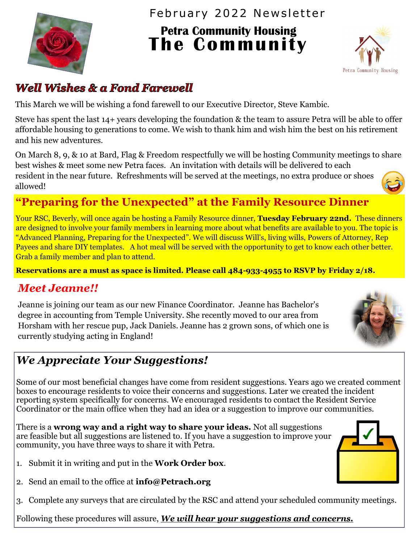

February 2022 Newsletter

**The Community Housing<br>The Community** 



## **Well Wishes & a Fond Farewell**

This March we will be wishing a fond farewell to our Executive Director, Steve Kambic.

Steve has spent the last 14+ years developing the foundation & the team to assure Petra will be able to offer affordable housing to generations to come. We wish to thank him and wish him the best on his retirement and his new adventures.

On March 8, 9, & 10 at Bard, Flag & Freedom respectfully we will be hosting Community meetings to share best wishes & meet some new Petra faces. An invitation with details will be delivered to each resident in the near future. Refreshments will be served at the meetings, no extra produce or shoes allowed!

# **"Preparing for the Unexpected" at the Family Resource Dinner**

Your RSC, Beverly, will once again be hosting a Family Resource dinner, **Tuesday February 22nd.** These dinners are designed to involve your family members in learning more about what benefits are available to you. The topic is "Advanced Planning, Preparing for the Unexpected". We will discuss Will's, living wills, Powers of Attorney, Rep Payees and share DIY templates. A hot meal will be served with the opportunity to get to know each other better. Grab a family member and plan to attend.

**Reservations are a must as space is limited. Please call 484-933-4955 to RSVP by Friday 2/18.**

## *Meet Jeanne!!*

Jeanne is joining our team as our new Finance Coordinator. Jeanne has Bachelor's degree in accounting from Temple University. She recently moved to our area from Horsham with her rescue pup, Jack Daniels. Jeanne has 2 grown sons, of which one is currently studying acting in England!



Some of our most beneficial changes have come from resident suggestions. Years ago we created comment boxes to encourage residents to voice their concerns and suggestions. Later we created the incident reporting system specifically for concerns. We encouraged residents to contact the Resident Service Coordinator or the main office when they had an idea or a suggestion to improve our communities.

There is a **wrong way and a right way to share your ideas.** Not all suggestions are feasible but all suggestions are listened to. If you have a suggestion to improve your community, you have three ways to share it with Petra.

- 1. Submit it in writing and put in the **Work Order box**.
- 2. Send an email to the office at **info@Petrach.org**
- 3. Complete any surveys that are circulated by the RSC and attend your scheduled community meetings.

Following these procedures will assure, *We will hear your suggestions and concerns.*